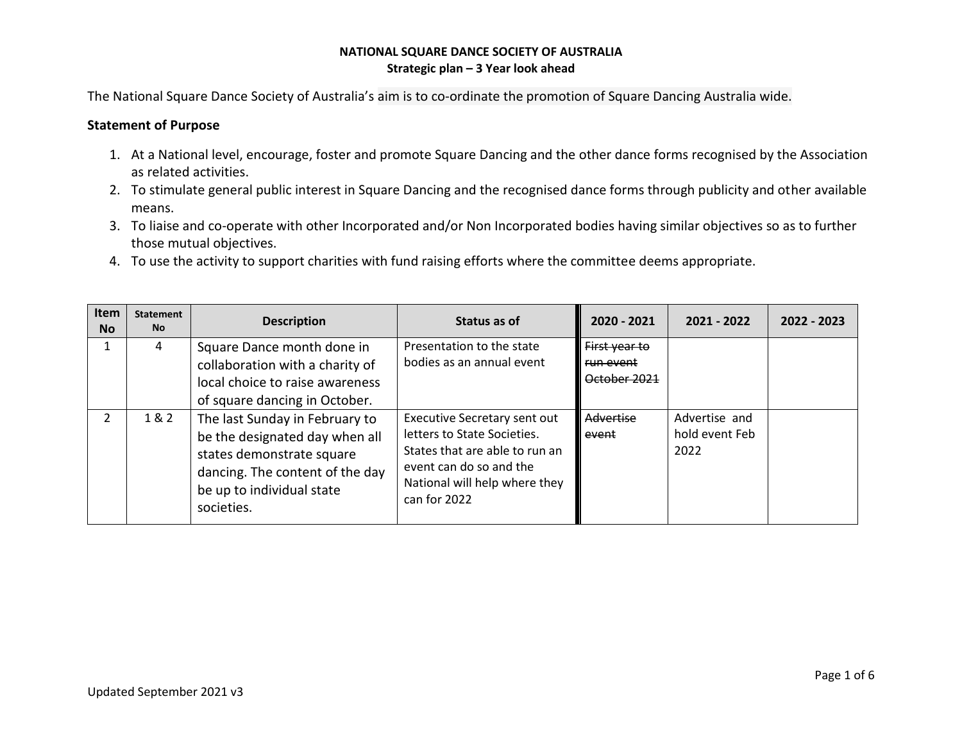The National Square Dance Society of Australia's aim is to co-ordinate the promotion of Square Dancing Australia wide.

#### **Statement of Purpose**

- 1. At a National level, encourage, foster and promote Square Dancing and the other dance forms recognised by the Association as related activities.
- 2. To stimulate general public interest in Square Dancing and the recognised dance forms through publicity and other available means.
- 3. To liaise and co-operate with other Incorporated and/or Non Incorporated bodies having similar objectives so as to further those mutual objectives.
- 4. To use the activity to support charities with fund raising efforts where the committee deems appropriate.

| <b>Item</b><br><b>No</b> | <b>Statement</b><br><b>No</b> | <b>Description</b>                                                                                                                                                          | Status as of                                                                                                                                                                     | 2020 - 2021                                | 2021 - 2022                             | 2022 - 2023 |
|--------------------------|-------------------------------|-----------------------------------------------------------------------------------------------------------------------------------------------------------------------------|----------------------------------------------------------------------------------------------------------------------------------------------------------------------------------|--------------------------------------------|-----------------------------------------|-------------|
|                          | 4                             | Square Dance month done in<br>collaboration with a charity of<br>local choice to raise awareness<br>of square dancing in October.                                           | Presentation to the state<br>bodies as an annual event                                                                                                                           | First year to<br>run event<br>October 2021 |                                         |             |
| 2                        | 1 & 2                         | The last Sunday in February to<br>be the designated day when all<br>states demonstrate square<br>dancing. The content of the day<br>be up to individual state<br>societies. | <b>Executive Secretary sent out</b><br>letters to State Societies.<br>States that are able to run an<br>event can do so and the<br>National will help where they<br>can for 2022 | Advertise<br>event                         | Advertise and<br>hold event Feb<br>2022 |             |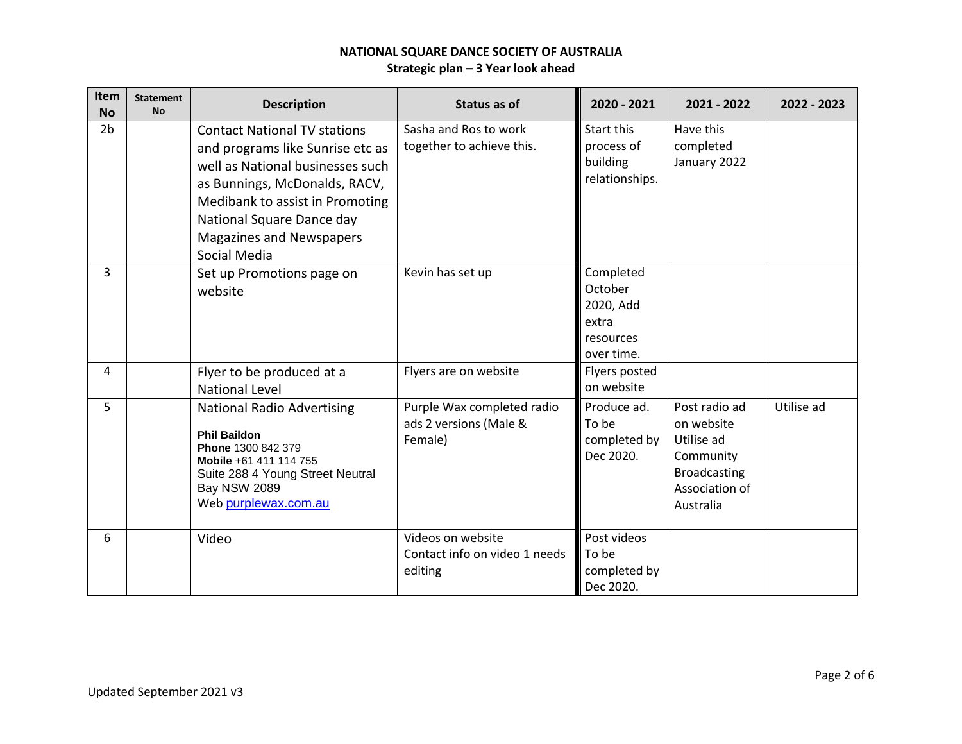| Item<br><b>No</b> | <b>Statement</b><br><b>No</b> | <b>Description</b>                                                                                                                                                                                                                                       | Status as of                                                    | 2020 - 2021                                                           | 2021 - 2022                                                                                                  | 2022 - 2023 |
|-------------------|-------------------------------|----------------------------------------------------------------------------------------------------------------------------------------------------------------------------------------------------------------------------------------------------------|-----------------------------------------------------------------|-----------------------------------------------------------------------|--------------------------------------------------------------------------------------------------------------|-------------|
| 2 <sub>b</sub>    |                               | <b>Contact National TV stations</b><br>and programs like Sunrise etc as<br>well as National businesses such<br>as Bunnings, McDonalds, RACV,<br>Medibank to assist in Promoting<br>National Square Dance day<br>Magazines and Newspapers<br>Social Media | Sasha and Ros to work<br>together to achieve this.              | Start this<br>process of<br>building<br>relationships.                | Have this<br>completed<br>January 2022                                                                       |             |
| 3                 |                               | Set up Promotions page on<br>website                                                                                                                                                                                                                     | Kevin has set up                                                | Completed<br>October<br>2020, Add<br>extra<br>resources<br>over time. |                                                                                                              |             |
| 4                 |                               | Flyer to be produced at a<br><b>National Level</b>                                                                                                                                                                                                       | Flyers are on website                                           | Flyers posted<br>on website                                           |                                                                                                              |             |
| 5                 |                               | <b>National Radio Advertising</b><br><b>Phil Baildon</b><br>Phone 1300 842 379<br>Mobile +61 411 114 755<br>Suite 288 4 Young Street Neutral<br><b>Bay NSW 2089</b><br>Web purplewax.com.au                                                              | Purple Wax completed radio<br>ads 2 versions (Male &<br>Female) | Produce ad.<br>To be<br>completed by<br>Dec 2020.                     | Post radio ad<br>on website<br>Utilise ad<br>Community<br><b>Broadcasting</b><br>Association of<br>Australia | Utilise ad  |
| 6                 |                               | Video                                                                                                                                                                                                                                                    | Videos on website<br>Contact info on video 1 needs<br>editing   | Post videos<br>To be<br>completed by<br>Dec 2020.                     |                                                                                                              |             |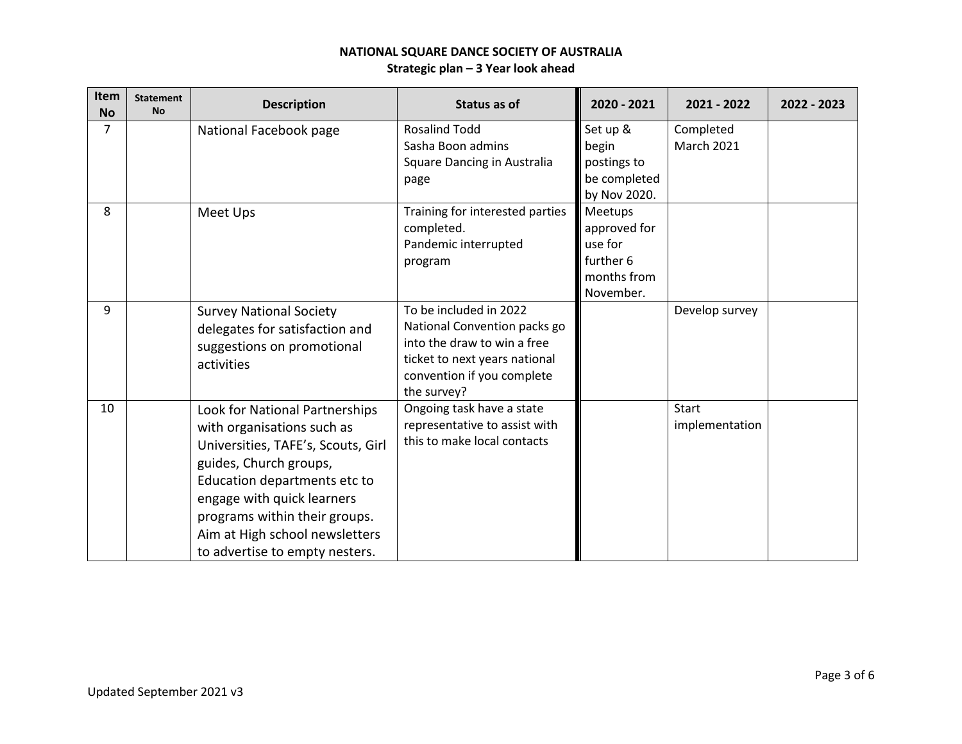| Item<br><b>No</b> | <b>Statement</b><br><b>No</b> | <b>Description</b>                                                                                                                                                                                                                                                                              | Status as of                                                                                                                                                        | 2020 - 2021                                                                 | 2021 - 2022                    | 2022 - 2023 |
|-------------------|-------------------------------|-------------------------------------------------------------------------------------------------------------------------------------------------------------------------------------------------------------------------------------------------------------------------------------------------|---------------------------------------------------------------------------------------------------------------------------------------------------------------------|-----------------------------------------------------------------------------|--------------------------------|-------------|
| $\overline{7}$    |                               | National Facebook page                                                                                                                                                                                                                                                                          | <b>Rosalind Todd</b><br>Sasha Boon admins<br>Square Dancing in Australia<br>page                                                                                    | Set up &<br>begin<br>postings to<br>be completed<br>by Nov 2020.            | Completed<br><b>March 2021</b> |             |
| 8                 |                               | Meet Ups                                                                                                                                                                                                                                                                                        | Training for interested parties<br>completed.<br>Pandemic interrupted<br>program                                                                                    | Meetups<br>approved for<br>use for<br>further 6<br>months from<br>November. |                                |             |
| 9                 |                               | <b>Survey National Society</b><br>delegates for satisfaction and<br>suggestions on promotional<br>activities                                                                                                                                                                                    | To be included in 2022<br>National Convention packs go<br>into the draw to win a free<br>ticket to next years national<br>convention if you complete<br>the survey? |                                                                             | Develop survey                 |             |
| 10                |                               | Look for National Partnerships<br>with organisations such as<br>Universities, TAFE's, Scouts, Girl<br>guides, Church groups,<br>Education departments etc to<br>engage with quick learners<br>programs within their groups.<br>Aim at High school newsletters<br>to advertise to empty nesters. | Ongoing task have a state<br>representative to assist with<br>this to make local contacts                                                                           |                                                                             | <b>Start</b><br>implementation |             |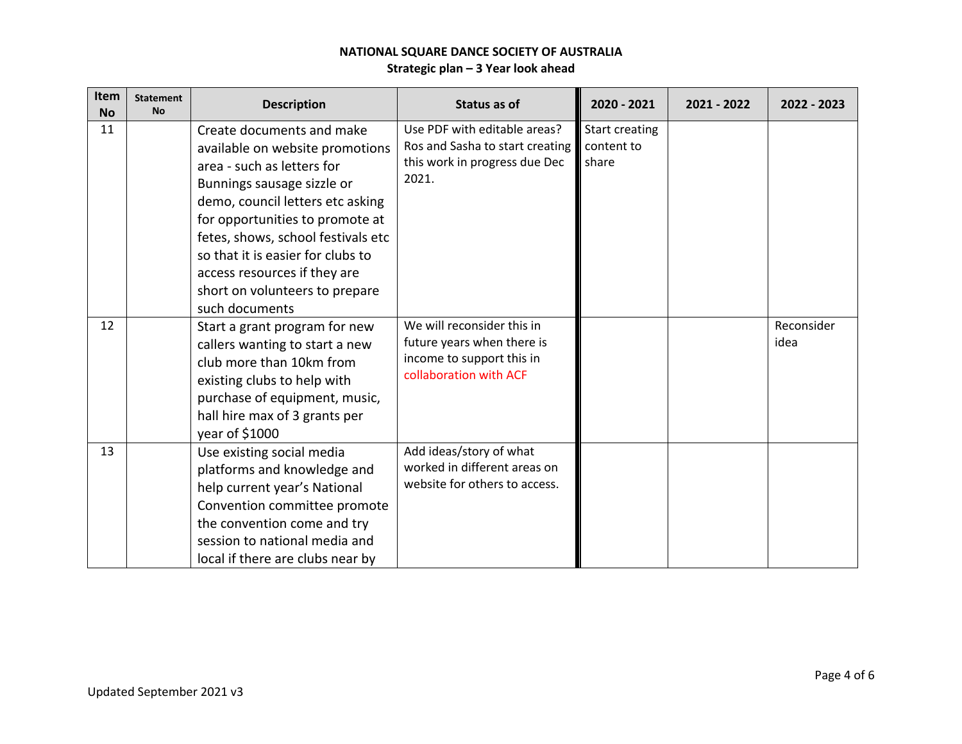| Item<br><b>No</b> | <b>Statement</b><br><b>No</b> | <b>Description</b>                                                                                                                                                                                                                                                                                                                                             | <b>Status as of</b>                                                                                             | 2020 - 2021                                  | 2021 - 2022 | 2022 - 2023        |
|-------------------|-------------------------------|----------------------------------------------------------------------------------------------------------------------------------------------------------------------------------------------------------------------------------------------------------------------------------------------------------------------------------------------------------------|-----------------------------------------------------------------------------------------------------------------|----------------------------------------------|-------------|--------------------|
| 11                |                               | Create documents and make<br>available on website promotions<br>area - such as letters for<br>Bunnings sausage sizzle or<br>demo, council letters etc asking<br>for opportunities to promote at<br>fetes, shows, school festivals etc<br>so that it is easier for clubs to<br>access resources if they are<br>short on volunteers to prepare<br>such documents | Use PDF with editable areas?<br>Ros and Sasha to start creating<br>this work in progress due Dec<br>2021.       | <b>Start creating</b><br>content to<br>share |             |                    |
| 12                |                               | Start a grant program for new<br>callers wanting to start a new<br>club more than 10km from<br>existing clubs to help with<br>purchase of equipment, music,<br>hall hire max of 3 grants per<br>year of \$1000                                                                                                                                                 | We will reconsider this in<br>future years when there is<br>income to support this in<br>collaboration with ACF |                                              |             | Reconsider<br>idea |
| 13                |                               | Use existing social media<br>platforms and knowledge and<br>help current year's National<br>Convention committee promote<br>the convention come and try<br>session to national media and<br>local if there are clubs near by                                                                                                                                   | Add ideas/story of what<br>worked in different areas on<br>website for others to access.                        |                                              |             |                    |